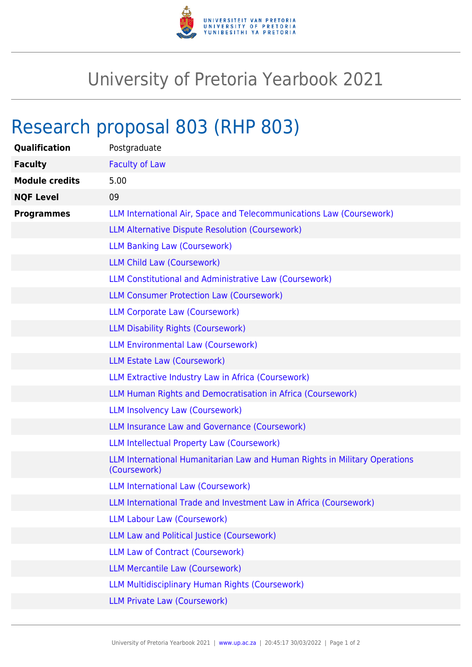

## University of Pretoria Yearbook 2021

## Research proposal 803 (RHP 803)

| <b>Qualification</b>  | Postgraduate                                                                               |
|-----------------------|--------------------------------------------------------------------------------------------|
| <b>Faculty</b>        | <b>Faculty of Law</b>                                                                      |
| <b>Module credits</b> | 5.00                                                                                       |
| <b>NQF Level</b>      | 09                                                                                         |
| <b>Programmes</b>     | LLM International Air, Space and Telecommunications Law (Coursework)                       |
|                       | <b>LLM Alternative Dispute Resolution (Coursework)</b>                                     |
|                       | <b>LLM Banking Law (Coursework)</b>                                                        |
|                       | <b>LLM Child Law (Coursework)</b>                                                          |
|                       | LLM Constitutional and Administrative Law (Coursework)                                     |
|                       | <b>LLM Consumer Protection Law (Coursework)</b>                                            |
|                       | <b>LLM Corporate Law (Coursework)</b>                                                      |
|                       | <b>LLM Disability Rights (Coursework)</b>                                                  |
|                       | <b>LLM Environmental Law (Coursework)</b>                                                  |
|                       | LLM Estate Law (Coursework)                                                                |
|                       | LLM Extractive Industry Law in Africa (Coursework)                                         |
|                       | LLM Human Rights and Democratisation in Africa (Coursework)                                |
|                       | <b>LLM Insolvency Law (Coursework)</b>                                                     |
|                       | LLM Insurance Law and Governance (Coursework)                                              |
|                       | <b>LLM Intellectual Property Law (Coursework)</b>                                          |
|                       | LLM International Humanitarian Law and Human Rights in Military Operations<br>(Coursework) |
|                       | <b>LLM International Law (Coursework)</b>                                                  |
|                       | LLM International Trade and Investment Law in Africa (Coursework)                          |
|                       | <b>LLM Labour Law (Coursework)</b>                                                         |
|                       | LLM Law and Political Justice (Coursework)                                                 |
|                       | <b>LLM Law of Contract (Coursework)</b>                                                    |
|                       | <b>LLM Mercantile Law (Coursework)</b>                                                     |
|                       | <b>LLM Multidisciplinary Human Rights (Coursework)</b>                                     |
|                       | <b>LLM Private Law (Coursework)</b>                                                        |
|                       |                                                                                            |